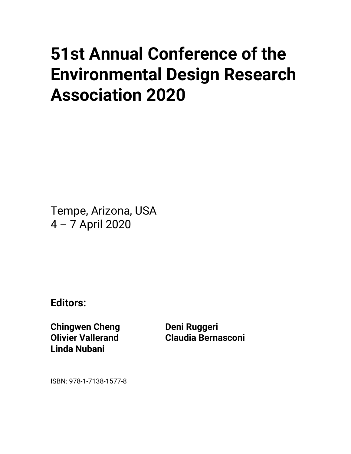## • **51st Annual Conference of the Environmental Design Research Association 2020**

Tempe, Arizona, USA 4 – 7 April 2020

**Editors:**

**Chingwen Cheng Olivier Vallerand Linda Nubani**

**Deni Ruggeri Claudia Bernasconi**

ISBN: 978-1-7138-1577-8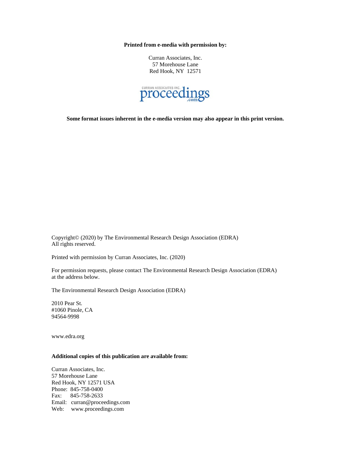**Printed from e-media with permission by:**

Curran Associates, Inc. 57 Morehouse Lane Red Hook, NY 12571



**Some format issues inherent in the e-media version may also appear in this print version.**

Copyright© (2020) by The Environmental Research Design Association (EDRA) All rights reserved.

Printed with permission by Curran Associates, Inc. (2020)

For permission requests, please contact The Environmental Research Design Association (EDRA) at the address below.

The Environmental Research Design Association (EDRA)

2010 Pear St. #1060 Pinole, CA 94564-9998

www.edra.org

## **Additional copies of this publication are available from:**

Curran Associates, Inc. 57 Morehouse Lane Red Hook, NY 12571 USA Phone: 845-758-0400 Fax: 845-758-2633 Email: curran@proceedings.com Web: www.proceedings.com